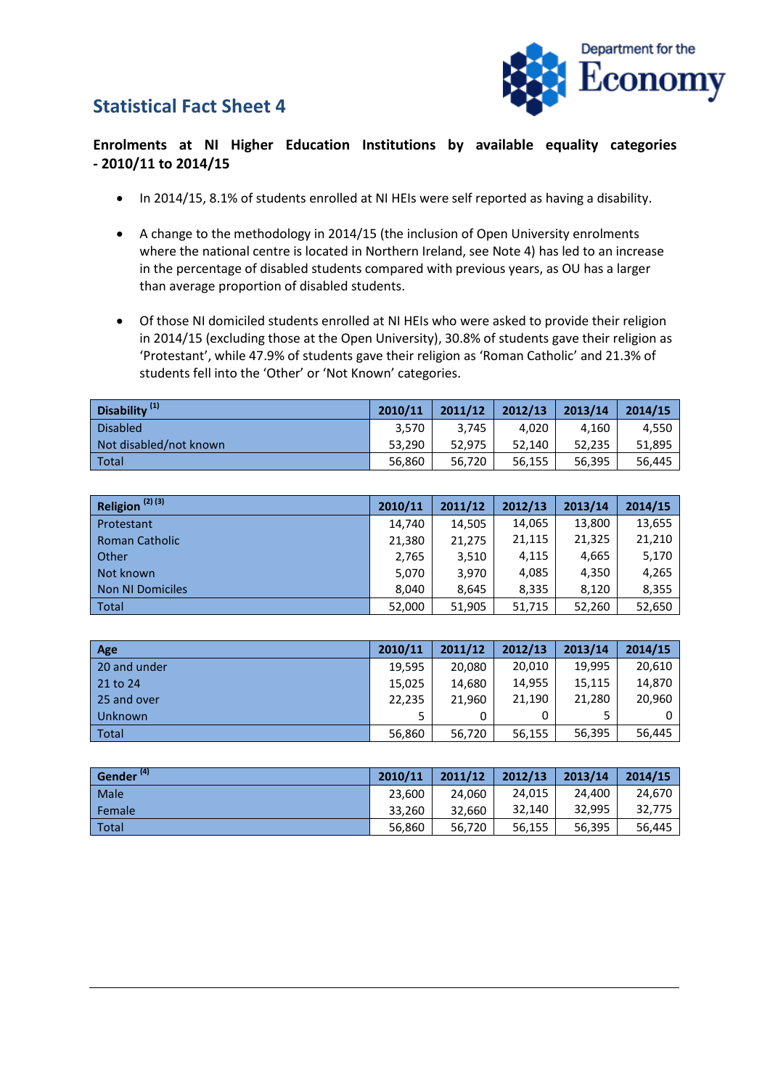## **Statistical Fact Sheet 4**



## **Enrolments at NI Higher Education Institutions by available equality categories - 2010/11 to 2014/15**

- In 2014/15, 8.1% of students enrolled at NI HEIs were self reported as having a disability.
- A change to the methodology in 2014/15 (the inclusion of Open University enrolments where the national centre is located in Northern Ireland, see Note 4) has led to an increase in the percentage of disabled students compared with previous years, as OU has a larger than average proportion of disabled students.
- Of those NI domiciled students enrolled at NI HEIs who were asked to provide their religion in 2014/15 (excluding those at the Open University), 30.8% of students gave their religion as 'Protestant', while 47.9% of students gave their religion as 'Roman Catholic' and 21.3% of students fell into the 'Other' or 'Not Known' categories.

| Disability <sup>(1)</sup> | 2010/11 | 2011/12 | 2012/13 | 2013/14 | 2014/15 |
|---------------------------|---------|---------|---------|---------|---------|
| Disabled                  | 3,570   | 3,745   | 4.020   | 4.160   | 4.550   |
| Not disabled/not known    | 53.290  | 52.975  | 52.140  | 52.235  | 51,895  |
| Total                     | 56,860  | 56,720  | 56,155  | 56,395  | 56.445  |

| Religion $(2)$ $(3)$    | 2010/11 | 2011/12 | 2012/13 | 2013/14 | 2014/15 |
|-------------------------|---------|---------|---------|---------|---------|
| Protestant              | 14,740  | 14,505  | 14,065  | 13,800  | 13,655  |
| <b>Roman Catholic</b>   | 21,380  | 21,275  | 21,115  | 21,325  | 21,210  |
| Other                   | 2,765   | 3,510   | 4,115   | 4,665   | 5,170   |
| Not known               | 5,070   | 3,970   | 4,085   | 4,350   | 4,265   |
| <b>Non NI Domiciles</b> | 8.040   | 8.645   | 8,335   | 8,120   | 8,355   |
| Total                   | 52,000  | 51,905  | 51,715  | 52,260  | 52,650  |

| Age          | 2010/11 | 2011/12 | 2012/13 | 2013/14 | 2014/15 |
|--------------|---------|---------|---------|---------|---------|
| 20 and under | 19.595  | 20,080  | 20,010  | 19.995  | 20,610  |
| $21$ to 24   | 15.025  | 14.680  | 14.955  | 15,115  | 14.870  |
| 25 and over  | 22,235  | 21.960  | 21,190  | 21,280  | 20,960  |
| Unknown      | 5.      | 0       |         |         | 0       |
| Total        | 56,860  | 56,720  | 56,155  | 56,395  | 56,445  |

| Gender <sup>(4)</sup> | 2010/11 | 2011/12 | 2012/13 | 2013/14 | 2014/15 |
|-----------------------|---------|---------|---------|---------|---------|
| Male                  | 23.600  | 24.060  | 24,015  | 24.400  | 24.670  |
| Female                | 33.260  | 32.660  | 32,140  | 32.995  | 32.775  |
| Total                 | 56,860  | 56,720  | 56,155  | 56,395  | 56.445  |